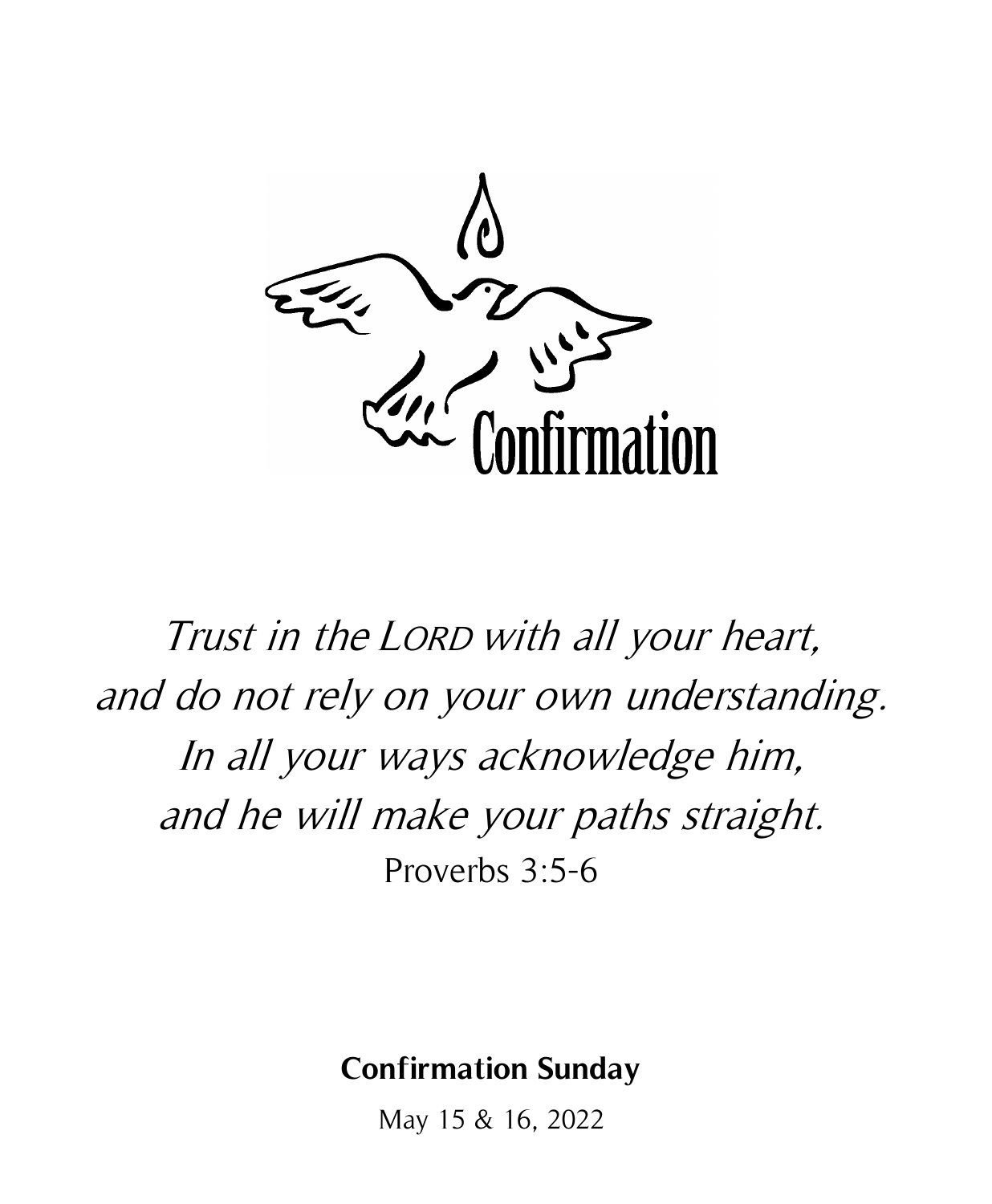

Trust in the LORD with all your heart, and do not rely on your own understanding. In all your ways acknowledge him, and he will make your paths straight. Proverbs 3:5-6

# **Confirmation Sunday**

May 15 & 16, 2022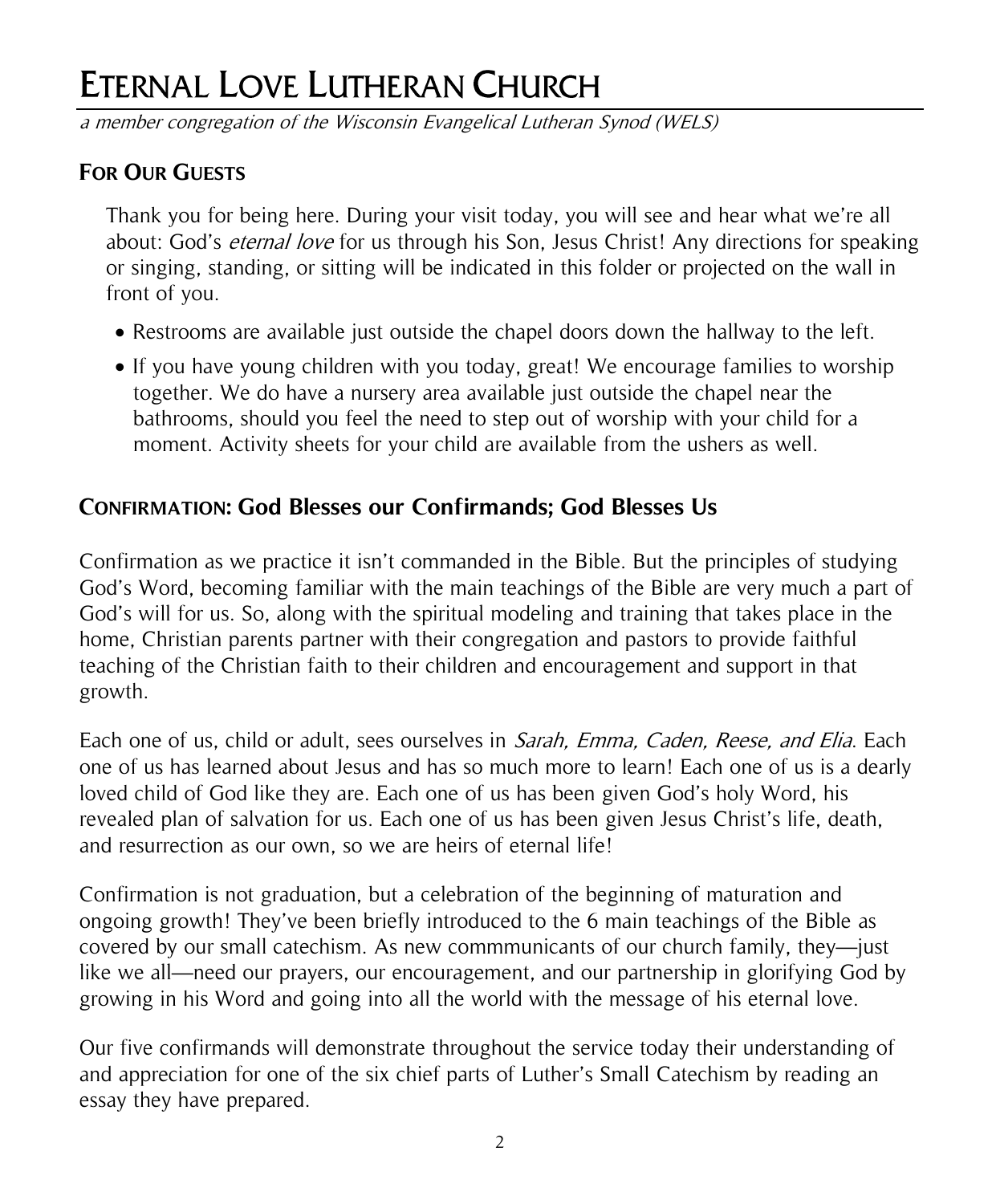# ETERNAL LOVE LUTHERAN CHURCH

a member congregation of the Wisconsin Evangelical Lutheran Synod (WELS)

## **FOR OUR GUESTS**

Thank you for being here. During your visit today, you will see and hear what we're all about: God's *eternal love* for us through his Son, Jesus Christ! Any directions for speaking or singing, standing, or sitting will be indicated in this folder or projected on the wall in front of you.

- Restrooms are available just outside the chapel doors down the hallway to the left.
- If you have young children with you today, great! We encourage families to worship together. We do have a nursery area available just outside the chapel near the bathrooms, should you feel the need to step out of worship with your child for a moment. Activity sheets for your child are available from the ushers as well.

## **CONFIRMATION: God Blesses our Confirmands; God Blesses Us**

Confirmation as we practice it isn't commanded in the Bible. But the principles of studying God's Word, becoming familiar with the main teachings of the Bible are very much a part of God's will for us. So, along with the spiritual modeling and training that takes place in the home, Christian parents partner with their congregation and pastors to provide faithful teaching of the Christian faith to their children and encouragement and support in that growth.

Each one of us, child or adult, sees ourselves in *Sarah, Emma, Caden, Reese, and Elia*. Each one of us has learned about Jesus and has so much more to learn! Each one of us is a dearly loved child of God like they are. Each one of us has been given God's holy Word, his revealed plan of salvation for us. Each one of us has been given Jesus Christ's life, death, and resurrection as our own, so we are heirs of eternal life!

Confirmation is not graduation, but a celebration of the beginning of maturation and ongoing growth! They've been briefly introduced to the 6 main teachings of the Bible as covered by our small catechism. As new commmunicants of our church family, they—just like we all—need our prayers, our encouragement, and our partnership in glorifying God by growing in his Word and going into all the world with the message of his eternal love.

Our five confirmands will demonstrate throughout the service today their understanding of and appreciation for one of the six chief parts of Luther's Small Catechism by reading an essay they have prepared.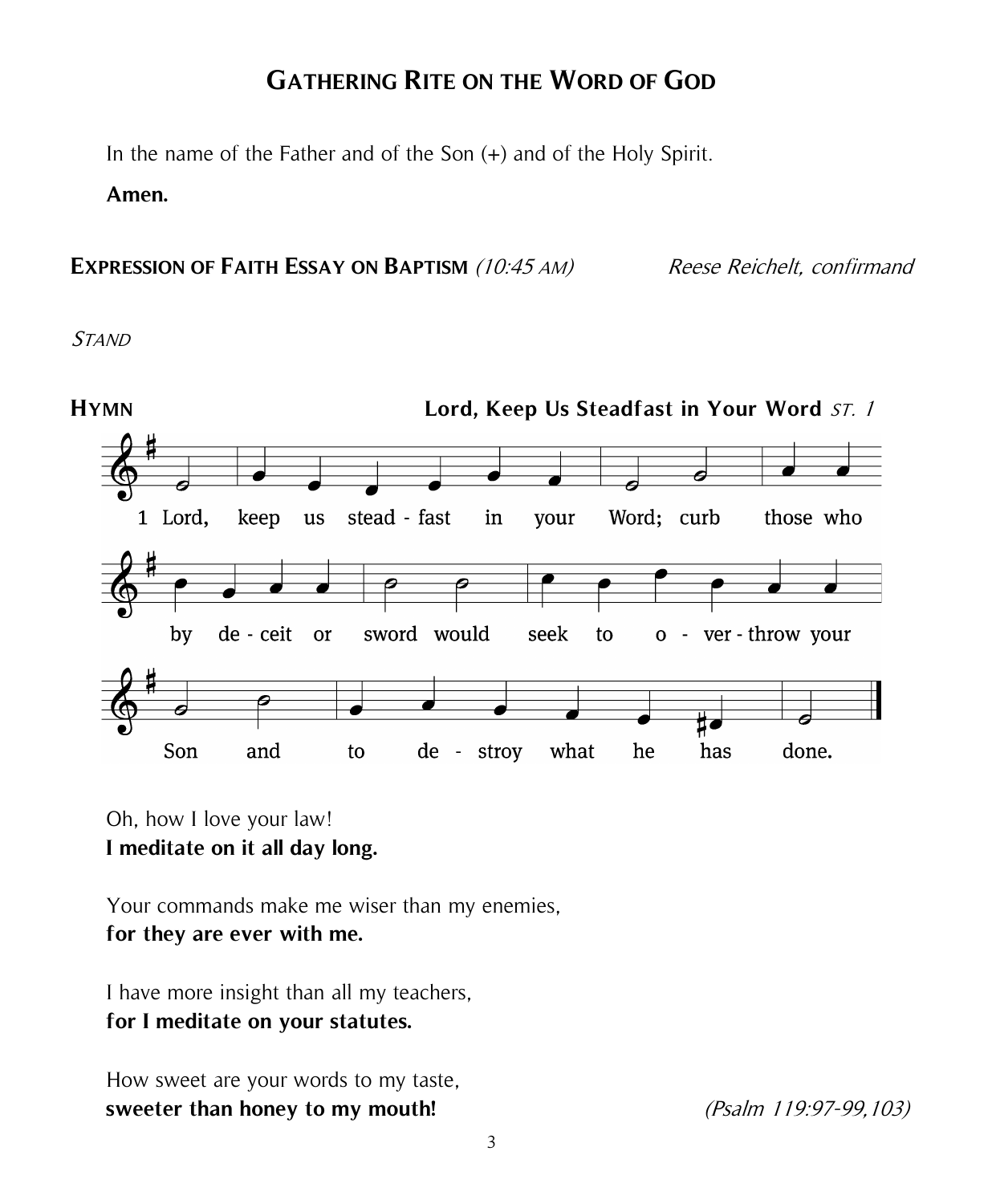# **GATHERING RITE ON THE WORD OF GOD**

In the name of the Father and of the Son (+) and of the Holy Spirit.

#### **Amen.**

**EXPRESSION OF FAITH ESSAY ON BAPTISM** (10:45 AM) Reese Reichelt, confirmand

**STAND** 



Oh, how I love your law! **I meditate on it all day long.**

Your commands make me wiser than my enemies, **for they are ever with me.**

I have more insight than all my teachers, **for I meditate on your statutes.**

How sweet are your words to my taste, **sweeter than honey to my mouth!** (Psalm 119:97-99,103)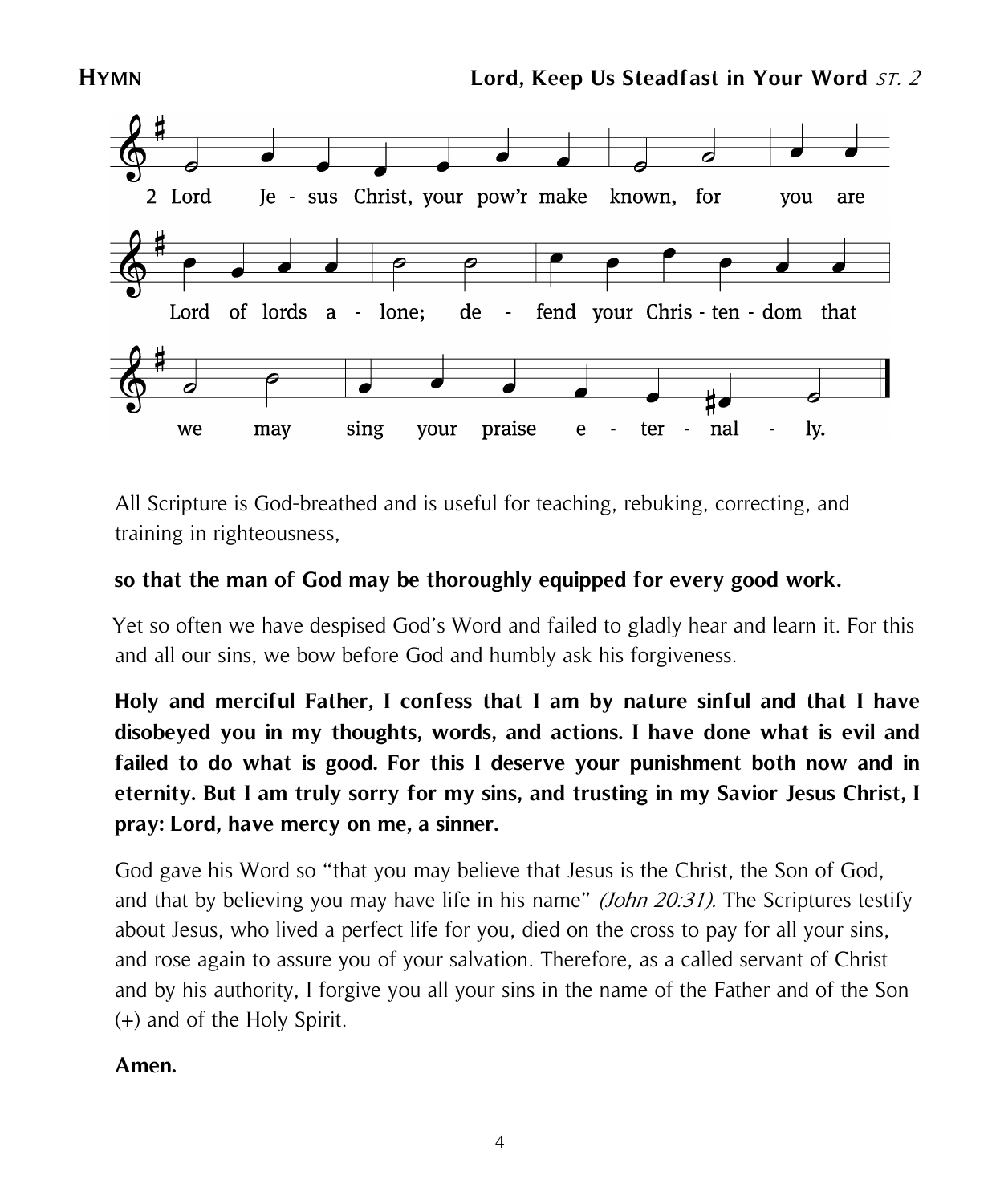



All Scripture is God-breathed and is useful for teaching, rebuking, correcting, and training in righteousness,

### **so that the man of God may be thoroughly equipped for every good work.**

 Yet so often we have despised God's Word and failed to gladly hear and learn it. For this and all our sins, we bow before God and humbly ask his forgiveness.

**Holy and merciful Father, I confess that I am by nature sinful and that I have disobeyed you in my thoughts, words, and actions. I have done what is evil and failed to do what is good. For this I deserve your punishment both now and in eternity. But I am truly sorry for my sins, and trusting in my Savior Jesus Christ, I pray: Lord, have mercy on me, a sinner.**

God gave his Word so "that you may believe that Jesus is the Christ, the Son of God, and that by believing you may have life in his name" *(John 20:31)*. The Scriptures testify about Jesus, who lived a perfect life for you, died on the cross to pay for all your sins, and rose again to assure you of your salvation. Therefore, as a called servant of Christ and by his authority, I forgive you all your sins in the name of the Father and of the Son (+) and of the Holy Spirit.

#### **Amen.**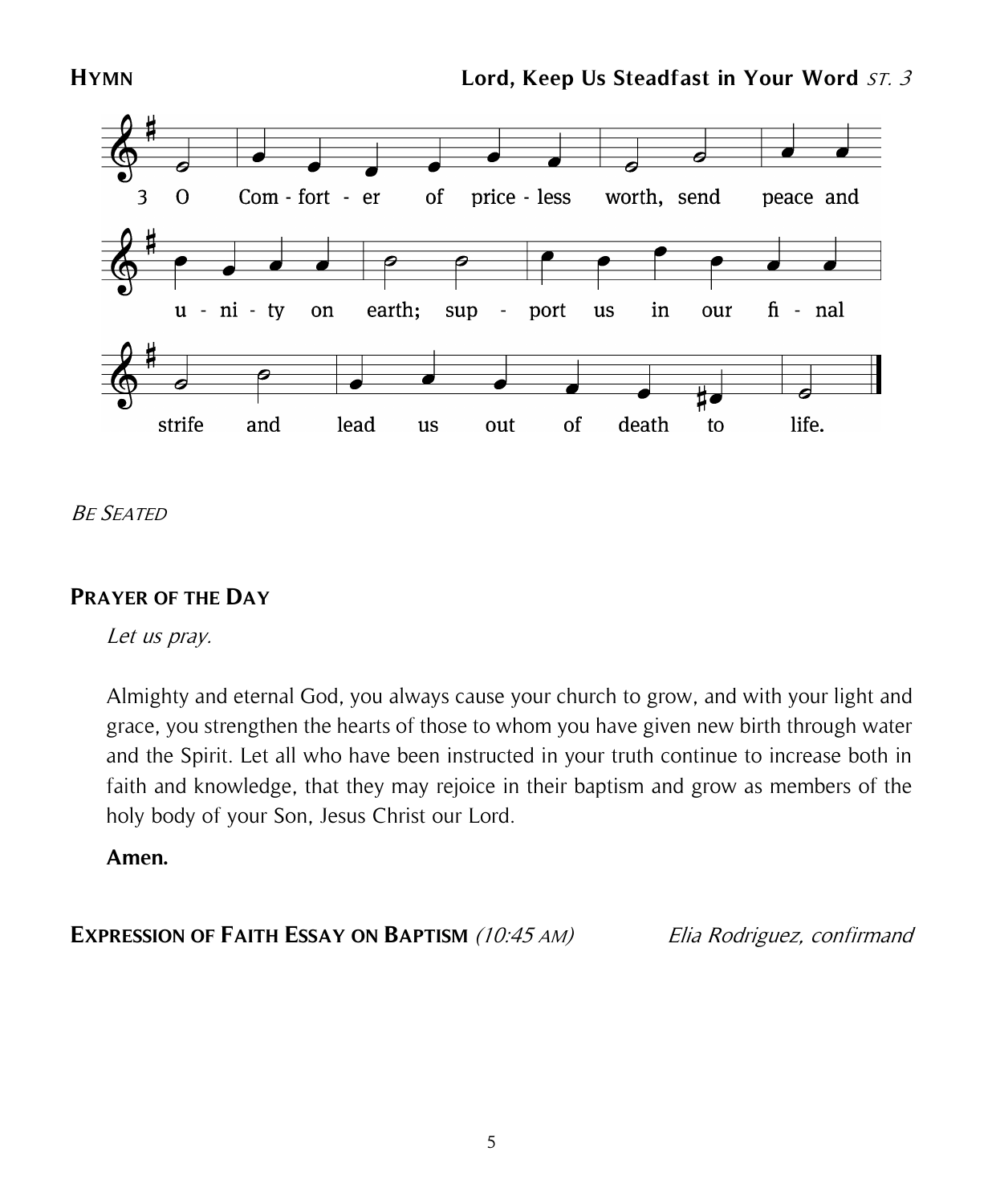

BE SEATED

#### **PRAYER OF THE DAY**

Let us pray.

Almighty and eternal God, you always cause your church to grow, and with your light and grace, you strengthen the hearts of those to whom you have given new birth through water and the Spirit. Let all who have been instructed in your truth continue to increase both in faith and knowledge, that they may rejoice in their baptism and grow as members of the holy body of your Son, Jesus Christ our Lord.

#### **Amen.**

**EXPRESSION OF FAITH ESSAY ON BAPTISM** (10:45 AM) Elia Rodriguez, confirmand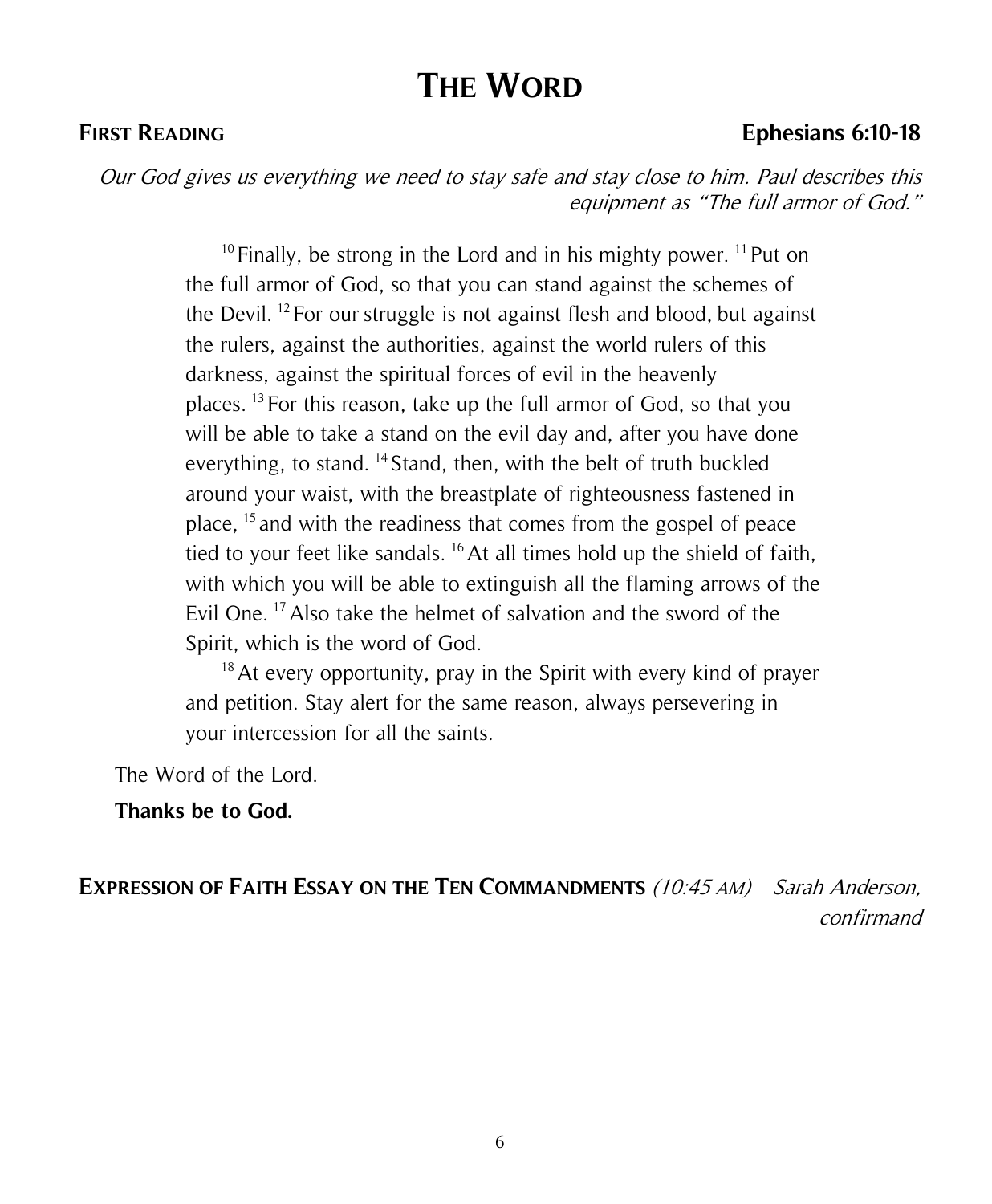# **THE WORD**

#### **FIRST READING Ephesians 6:10-18**

Our God gives us everything we need to stay safe and stay close to him. Paul describes this equipment as "The full armor of God."

> $10$  Finally, be strong in the Lord and in his mighty power.  $11$  Put on the full armor of God, so that you can stand against the schemes of the Devil. <sup>12</sup> For our struggle is not against flesh and blood, but against the rulers, against the authorities, against the world rulers of this darkness, against the spiritual forces of evil in the heavenly places. <sup>13</sup> For this reason, take up the full armor of God, so that you will be able to take a stand on the evil day and, after you have done everything, to stand. <sup>14</sup> Stand, then, with the belt of truth buckled around your waist, with the breastplate of righteousness fastened in place, <sup>15</sup> and with the readiness that comes from the gospel of peace tied to your feet like sandals. <sup>16</sup> At all times hold up the shield of faith, with which you will be able to extinguish all the flaming arrows of the Evil One.<sup>17</sup> Also take the helmet of salvation and the sword of the Spirit, which is the word of God.

> $18$  At every opportunity, pray in the Spirit with every kind of prayer and petition. Stay alert for the same reason, always persevering in your intercession for all the saints.

The Word of the Lord.

#### **Thanks be to God.**

**EXPRESSION OF FAITH ESSAY ON THE TEN COMMANDMENTS** (10:45 AM) Sarah Anderson, confirmand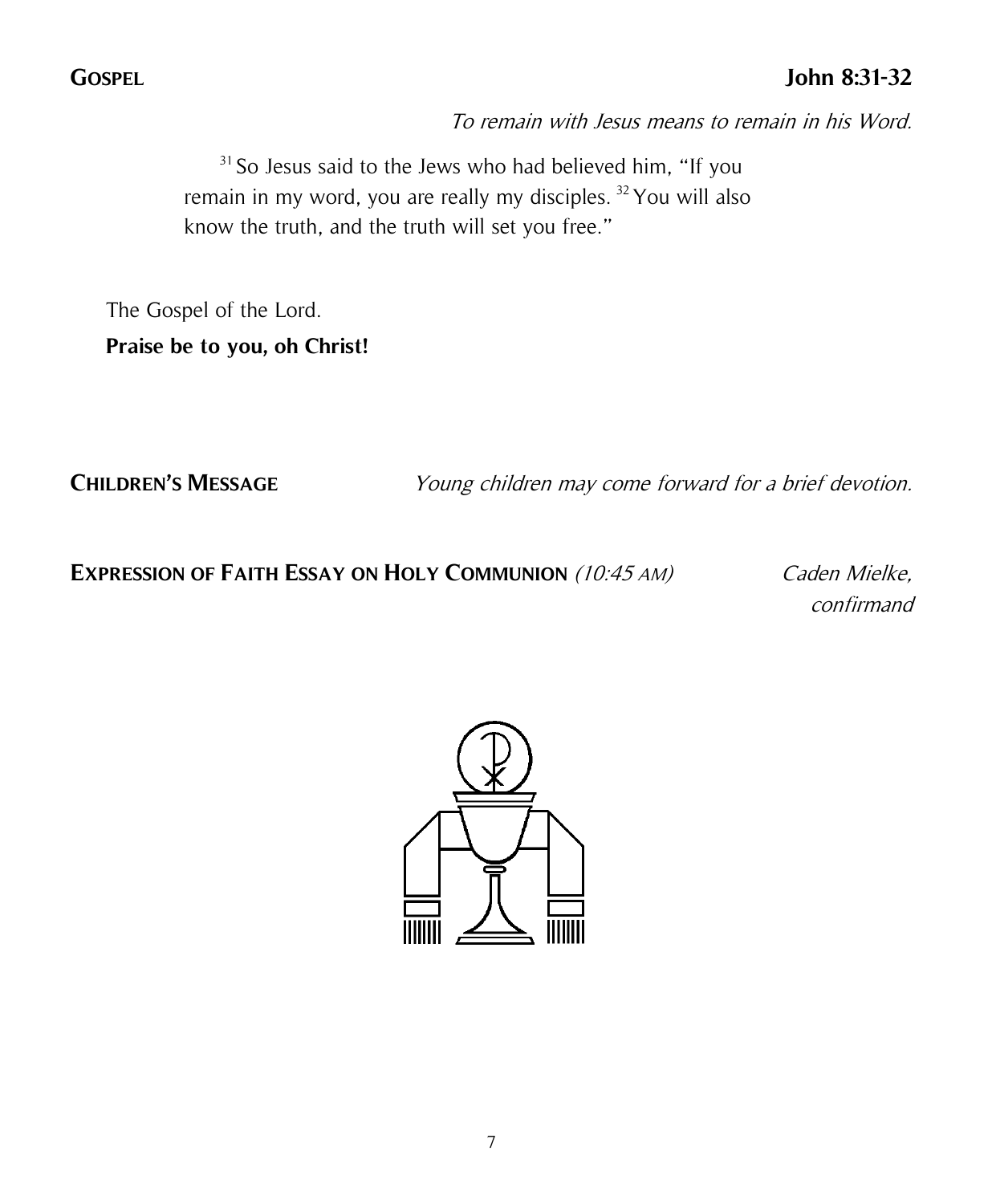### **GOSPEL John 8:31-32**

To remain with Jesus means to remain in his Word.

 $31$  So Jesus said to the Jews who had believed him, "If you remain in my word, you are really my disciples. <sup>32</sup>You will also know the truth, and the truth will set you free."

The Gospel of the Lord.

**Praise be to you, oh Christ!**

**CHILDREN'S MESSAGE** Young children may come forward for a brief devotion.

#### **EXPRESSION OF FAITH ESSAY ON HOLY COMMUNION** (10:45 AM) Caden Mielke,

confirmand

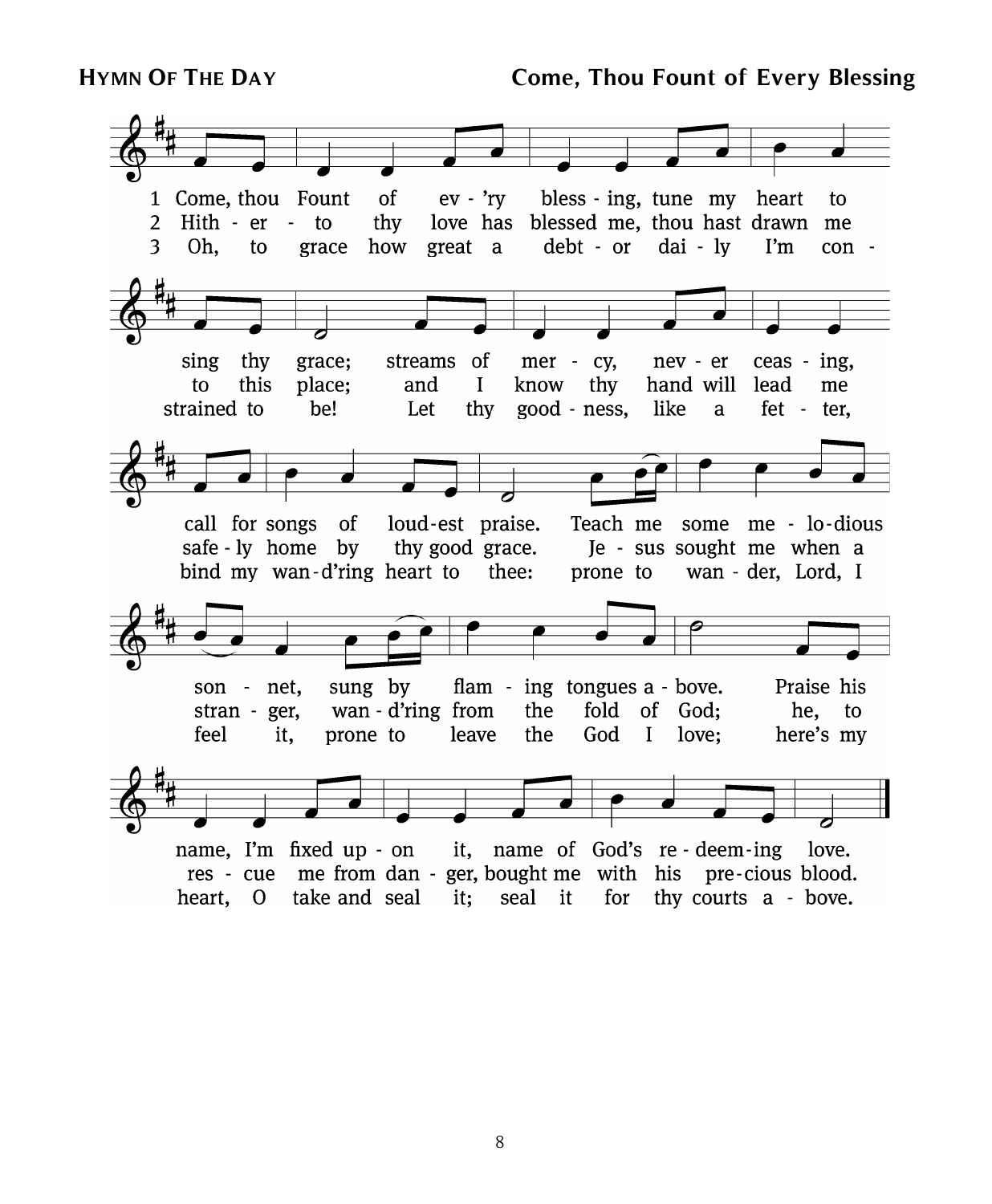**HYMN OF THE DAY Come, Thou Fount of Every Blessing**



8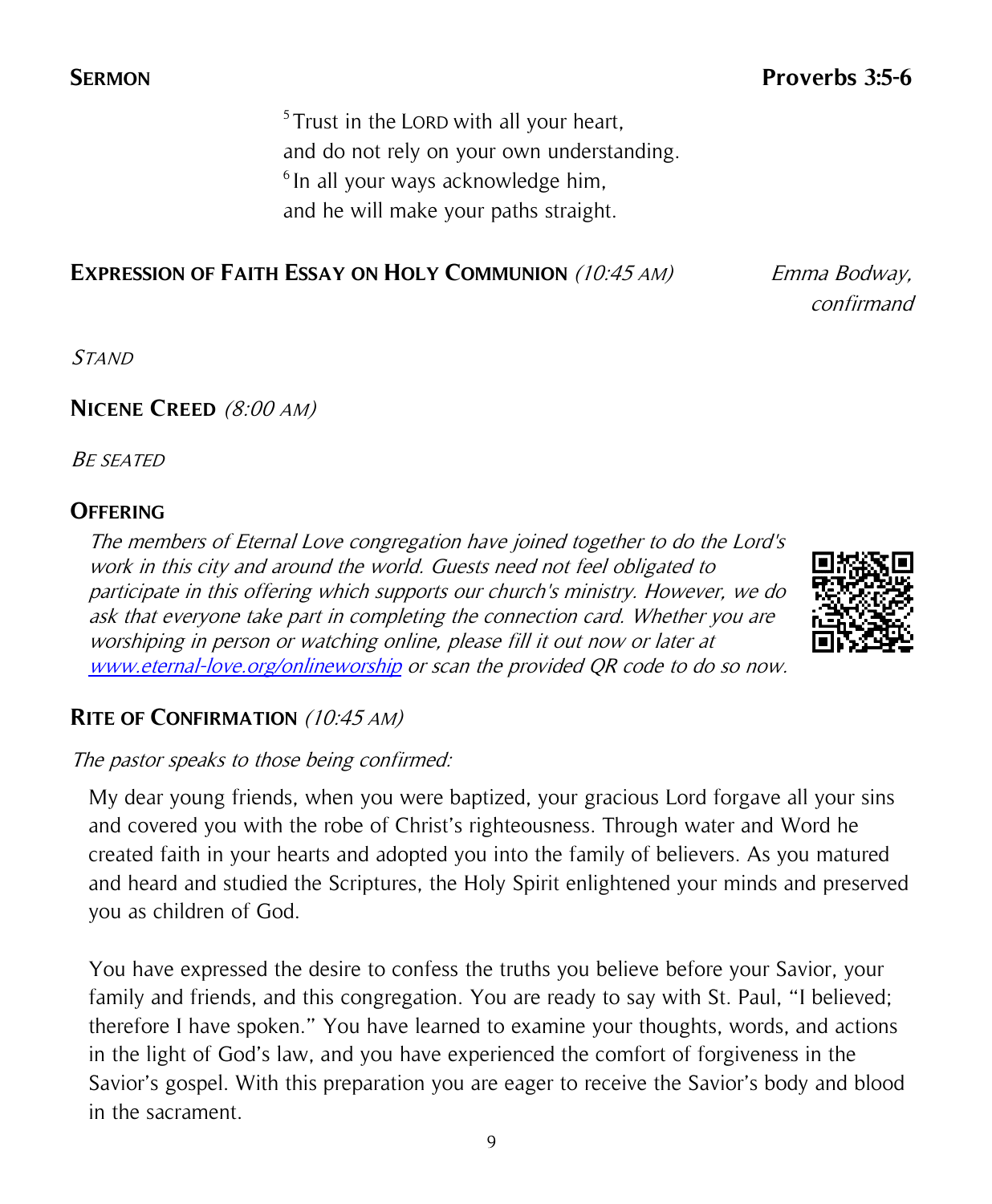<sup>5</sup>Trust in the LORD with all your heart, and do not rely on your own understanding. <sup>6</sup> In all your ways acknowledge him, and he will make your paths straight.

#### **EXPRESSION OF FAITH ESSAY ON HOLY COMMUNION** (10:45 AM) Emma Bodway,

confirmand

**STAND** 

#### **NICENE CREED** (8:00 AM)

BE SEATED

#### **OFFERING**

The members of Eternal Love congregation have joined together to do the Lord's work in this city and around the world. Guests need not feel obligated to participate in this offering which supports our church's ministry. However, we do ask that everyone take part in completing the connection card. Whether you are worshiping in person or watching online, please fill it out now or later at [www.eternal-love.org/onlineworship](http://www.eternal-love.org/onlineworship) or scan the provided QR code to do so now.



#### **RITE OF CONFIRMATION** (10:45 AM)

#### The pastor speaks to those being confirmed:

My dear young friends, when you were baptized, your gracious Lord forgave all your sins and covered you with the robe of Christ's righteousness. Through water and Word he created faith in your hearts and adopted you into the family of believers. As you matured and heard and studied the Scriptures, the Holy Spirit enlightened your minds and preserved you as children of God.

You have expressed the desire to confess the truths you believe before your Savior, your family and friends, and this congregation. You are ready to say with St. Paul, "I believed; therefore I have spoken." You have learned to examine your thoughts, words, and actions in the light of God's law, and you have experienced the comfort of forgiveness in the Savior's gospel. With this preparation you are eager to receive the Savior's body and blood in the sacrament.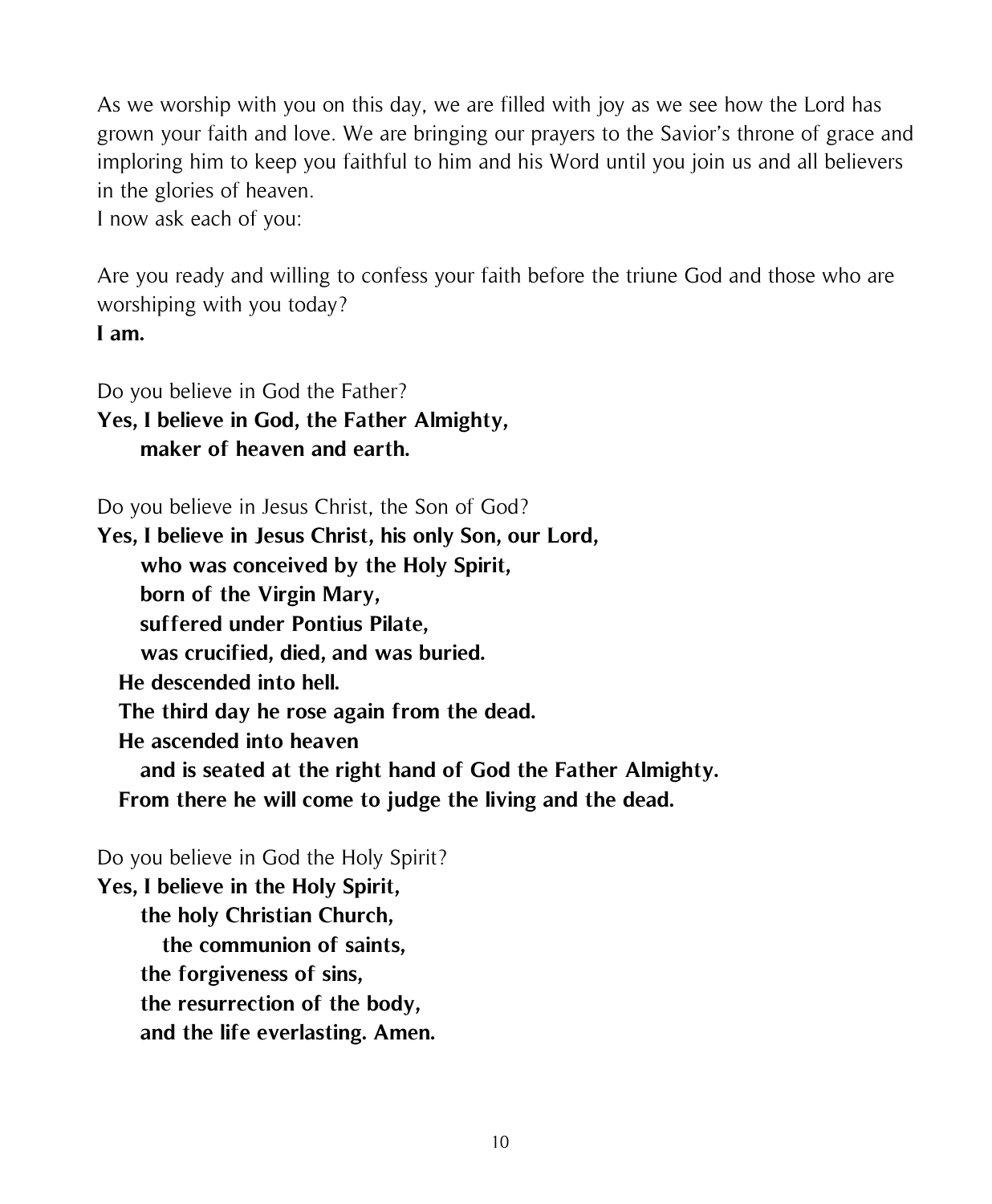As we worship with you on this day, we are filled with joy as we see how the Lord has grown your faith and love. We are bringing our prayers to the Savior's throne of grace and imploring him to keep you faithful to him and his Word until you join us and all believers in the glories of heaven.

I now ask each of you:

Are you ready and willing to confess your faith before the triune God and those who are worshiping with you today? **I am.**

Do you believe in God the Father? **Yes, I believe in God, the Father Almighty, maker of heaven and earth.**

Do you believe in Jesus Christ, the Son of God?

**Yes, I believe in Jesus Christ, his only Son, our Lord, who was conceived by the Holy Spirit, born of the Virgin Mary, suffered under Pontius Pilate, was crucified, died, and was buried. He descended into hell. The third day he rose again from the dead. He ascended into heaven and is seated at the right hand of God the Father Almighty. From there he will come to judge the living and the dead.**

Do you believe in God the Holy Spirit?

**Yes, I believe in the Holy Spirit, the holy Christian Church, the communion of saints, the forgiveness of sins, the resurrection of the body, and the life everlasting. Amen.**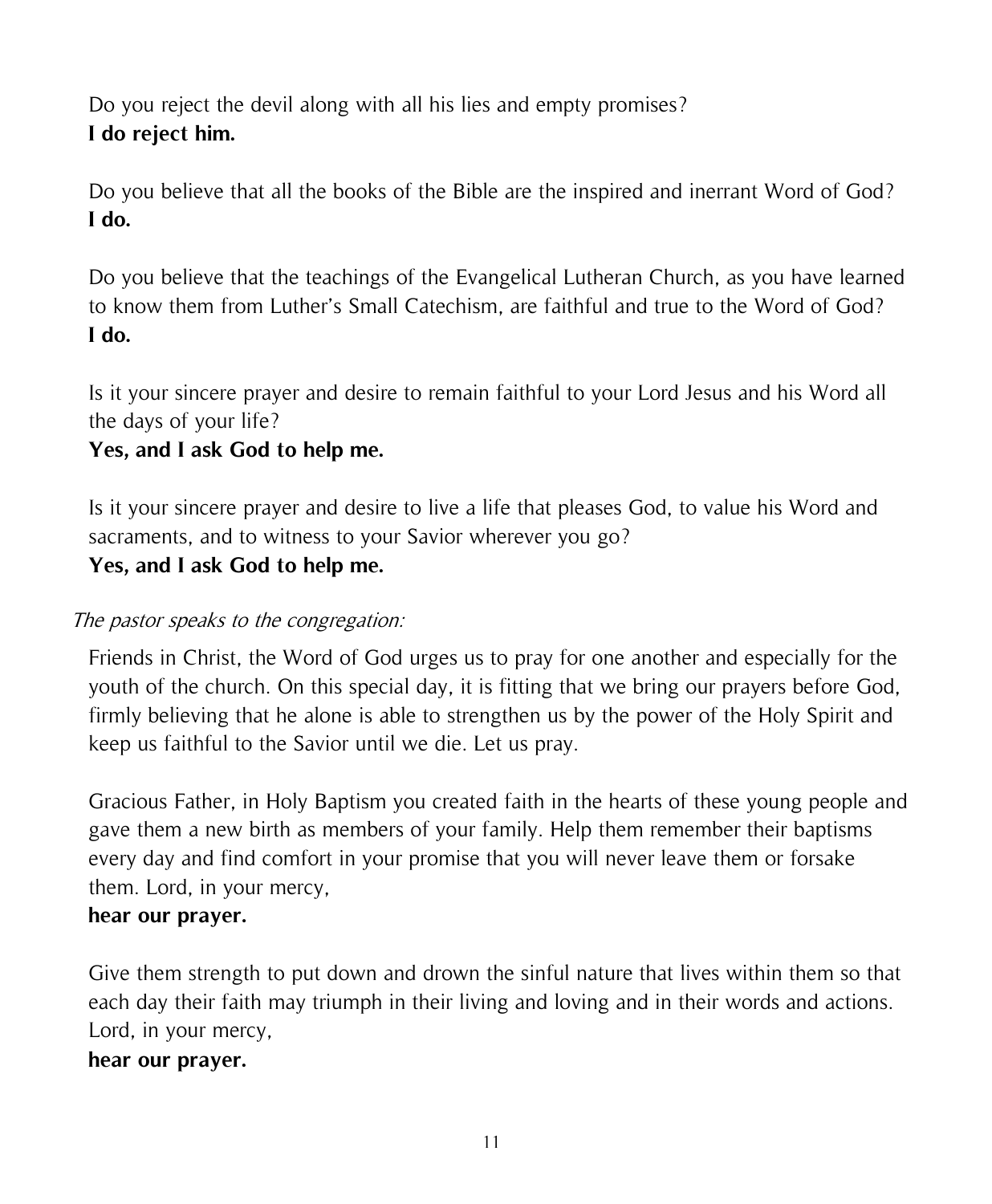Do you reject the devil along with all his lies and empty promises? **I do reject him.**

Do you believe that all the books of the Bible are the inspired and inerrant Word of God? **I do.**

Do you believe that the teachings of the Evangelical Lutheran Church, as you have learned to know them from Luther's Small Catechism, are faithful and true to the Word of God? **I do.**

Is it your sincere prayer and desire to remain faithful to your Lord Jesus and his Word all the days of your life?

### **Yes, and I ask God to help me.**

Is it your sincere prayer and desire to live a life that pleases God, to value his Word and sacraments, and to witness to your Savior wherever you go?

#### **Yes, and I ask God to help me.**

#### The pastor speaks to the congregation:

Friends in Christ, the Word of God urges us to pray for one another and especially for the youth of the church. On this special day, it is fitting that we bring our prayers before God, firmly believing that he alone is able to strengthen us by the power of the Holy Spirit and keep us faithful to the Savior until we die. Let us pray.

Gracious Father, in Holy Baptism you created faith in the hearts of these young people and gave them a new birth as members of your family. Help them remember their baptisms every day and find comfort in your promise that you will never leave them or forsake them. Lord, in your mercy,

#### **hear our prayer.**

Give them strength to put down and drown the sinful nature that lives within them so that each day their faith may triumph in their living and loving and in their words and actions. Lord, in your mercy,

#### **hear our prayer.**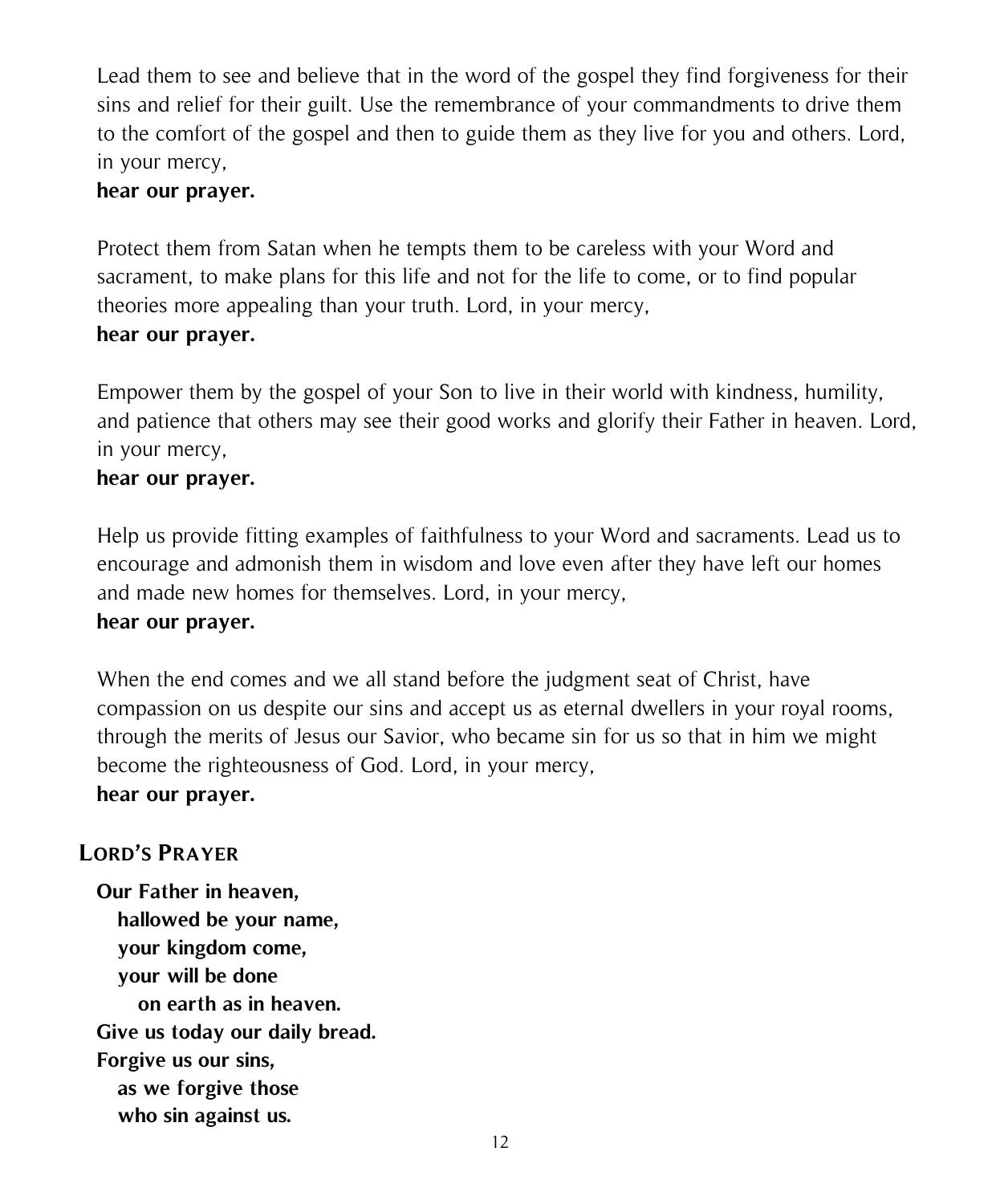Lead them to see and believe that in the word of the gospel they find forgiveness for their sins and relief for their guilt. Use the remembrance of your commandments to drive them to the comfort of the gospel and then to guide them as they live for you and others. Lord, in your mercy,

#### **hear our prayer.**

Protect them from Satan when he tempts them to be careless with your Word and sacrament, to make plans for this life and not for the life to come, or to find popular theories more appealing than your truth. Lord, in your mercy, **hear our prayer.**

Empower them by the gospel of your Son to live in their world with kindness, humility, and patience that others may see their good works and glorify their Father in heaven. Lord, in your mercy,

#### **hear our prayer.**

Help us provide fitting examples of faithfulness to your Word and sacraments. Lead us to encourage and admonish them in wisdom and love even after they have left our homes and made new homes for themselves. Lord, in your mercy,

#### **hear our prayer.**

When the end comes and we all stand before the judgment seat of Christ, have compassion on us despite our sins and accept us as eternal dwellers in your royal rooms, through the merits of Jesus our Savior, who became sin for us so that in him we might become the righteousness of God. Lord, in your mercy,

#### **hear our prayer.**

#### **LORD'S PRAYER**

**Our Father in heaven, hallowed be your name, your kingdom come, your will be done on earth as in heaven. Give us today our daily bread. Forgive us our sins, as we forgive those who sin against us.**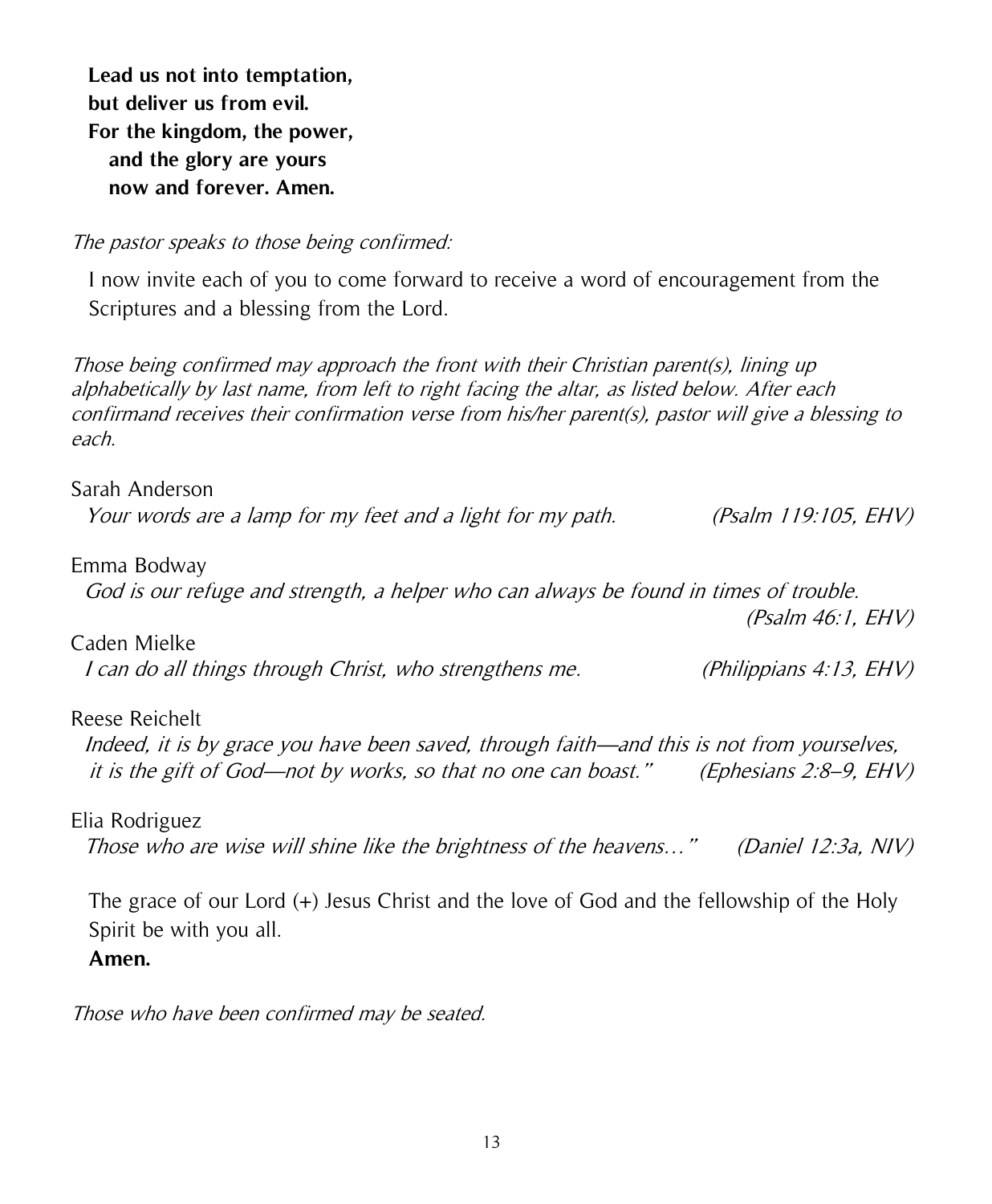**Lead us not into temptation, but deliver us from evil. For the kingdom, the power, and the glory are yours now and forever. Amen.**

#### The pastor speaks to those being confirmed:

I now invite each of you to come forward to receive a word of encouragement from the Scriptures and a blessing from the Lord.

Those being confirmed may approach the front with their Christian parent(s), lining up alphabetically by last name, from left to right facing the altar, as listed below. After each confirmand receives their confirmation verse from his/her parent(s), pastor will give a blessing to each.

#### Sarah Anderson

Your words are a lamp for my feet and a light for my path. (Psalm 119:105, EHV)

#### Emma Bodway

God is our refuge and strength, a helper who can always be found in times of trouble.

(Psalm 46:1, EHV)

I can do all things through Christ, who strengthens me. (Philippians 4:13, EHV)

#### Reese Reichelt

Caden Mielke

 Indeed, it is by grace you have been saved, through faith—and this is not from yourselves, it is the gift of God—not by works, so that no one can boast." (Ephesians 2:8–9, EHV)

Elia Rodriguez Those who are wise will shine like the brightness of the heavens…" (Daniel 12:3a, NIV)

The grace of our Lord (+) Jesus Christ and the love of God and the fellowship of the Holy Spirit be with you all.

**Amen.**

Those who have been confirmed may be seated.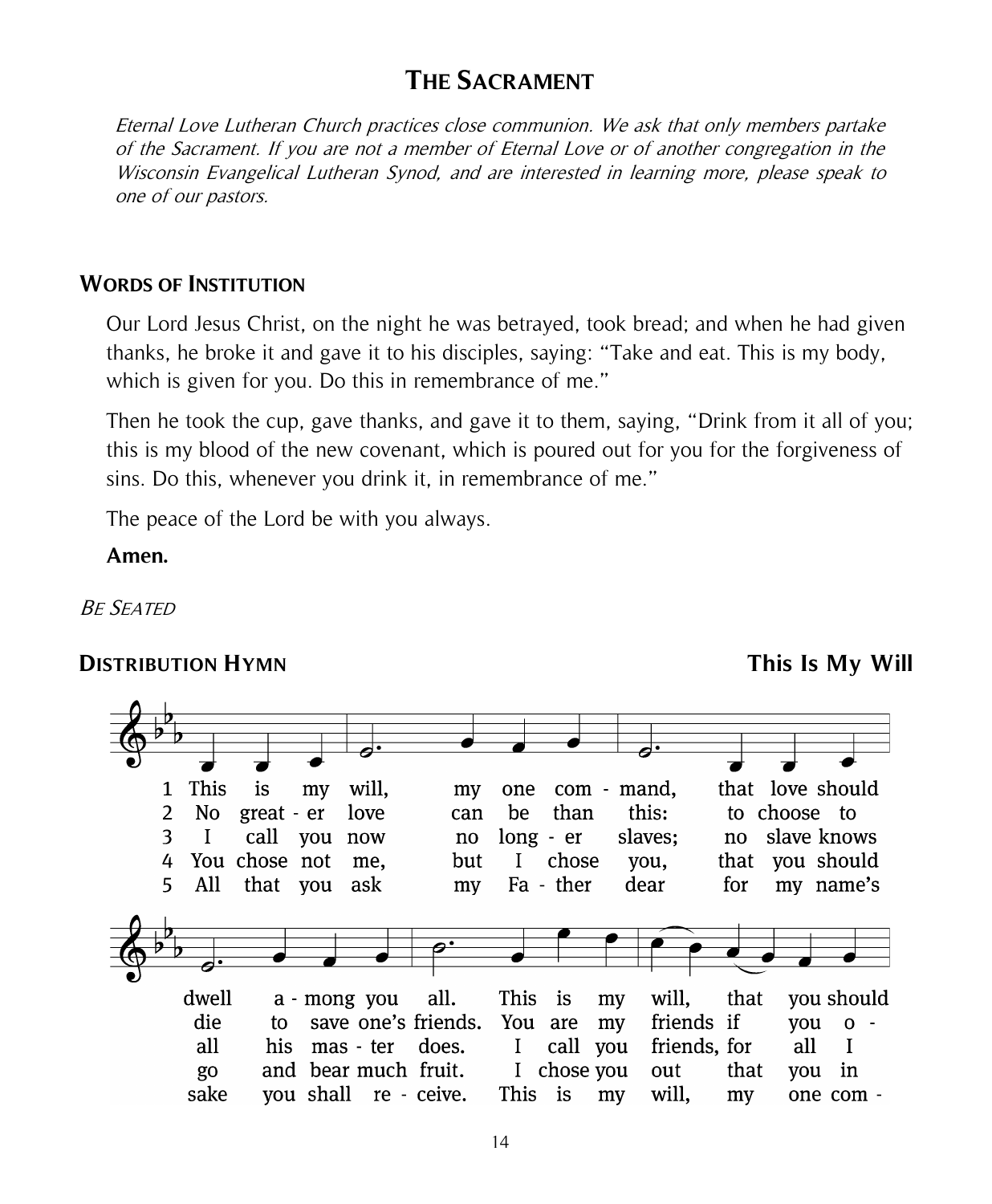## **THE SACRAMENT**

Eternal Love Lutheran Church practices close communion. We ask that only members partake of the Sacrament. If you are not a member of Eternal Love or of another congregation in the Wisconsin Evangelical Lutheran Synod, and are interested in learning more, please speak to one of our pastors.

#### **WORDS OF INSTITUTION**

Our Lord Jesus Christ, on the night he was betrayed, took bread; and when he had given thanks, he broke it and gave it to his disciples, saying: "Take and eat. This is my body, which is given for you. Do this in remembrance of me."

Then he took the cup, gave thanks, and gave it to them, saying, "Drink from it all of you; this is my blood of the new covenant, which is poured out for you for the forgiveness of sins. Do this, whenever you drink it, in remembrance of me."

The peace of the Lord be with you always.

#### **Amen.**

#### BE SEATED

#### **DISTRIBUTION HYMN This Is My Will**

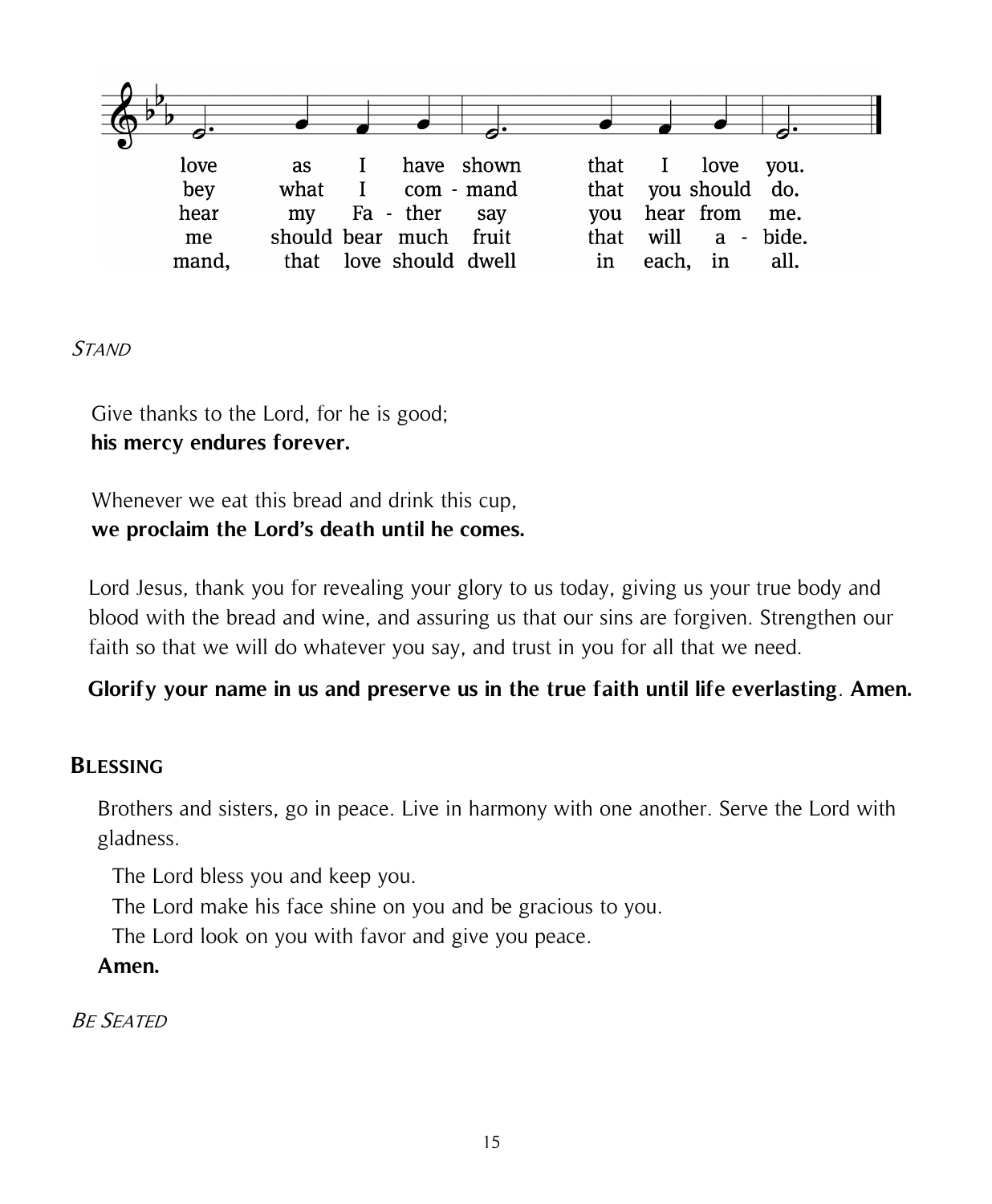

#### **STAND**

Give thanks to the Lord, for he is good; **his mercy endures forever.**

Whenever we eat this bread and drink this cup, **we proclaim the Lord's death until he comes.**

Lord Jesus, thank you for revealing your glory to us today, giving us your true body and blood with the bread and wine, and assuring us that our sins are forgiven. Strengthen our faith so that we will do whatever you say, and trust in you for all that we need.

#### **Glorify your name in us and preserve us in the true faith until life everlasting**. **Amen.**

#### **BLESSING**

Brothers and sisters, go in peace. Live in harmony with one another. Serve the Lord with gladness.

The Lord bless you and keep you.

The Lord make his face shine on you and be gracious to you.

The Lord look on you with favor and give you peace.

**Amen.**

BE SEATED